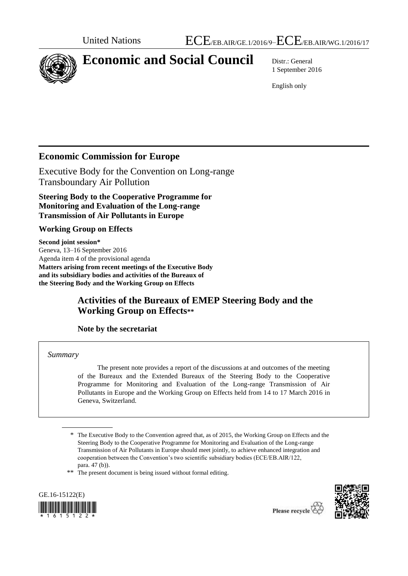

# **Economic and Social Council** Distr.: General

1 September 2016

English only

# **Economic Commission for Europe**

Executive Body for the Convention on Long-range Transboundary Air Pollution

**Steering Body to the Cooperative Programme for Monitoring and Evaluation of the Long-range Transmission of Air Pollutants in Europe**

### **Working Group on Effects**

**Second joint session\*** Geneva, 13–16 September 2016 Agenda item 4 of the provisional agenda **Matters arising from recent meetings of the Executive Body and its subsidiary bodies and activities of the Bureaux of the Steering Body and the Working Group on Effects**

# **Activities of the Bureaux of EMEP Steering Body and the Working Group on Effects\*\***

**Note by the secretariat**

### *Summary*

The present note provides a report of the discussions at and outcomes of the meeting of the Bureaux and the Extended Bureaux of the Steering Body to the Cooperative Programme for Monitoring and Evaluation of the Long-range Transmission of Air Pollutants in Europe and the Working Group on Effects held from 14 to 17 March 2016 in Geneva, Switzerland.

\*\* The present document is being issued without formal editing.





<sup>\*</sup> The Executive Body to the Convention agreed that, as of 2015, the Working Group on Effects and the Steering Body to the Cooperative Programme for Monitoring and Evaluation of the Long-range Transmission of Air Pollutants in Europe should meet jointly, to achieve enhanced integration and cooperation between the Convention's two scientific subsidiary bodies (ECE/EB.AIR/122, para. 47 (b)).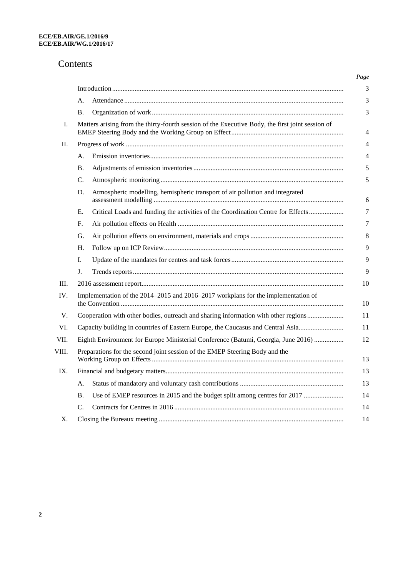# Contents

|       |                                                                                                  |                                                                                    | Page           |
|-------|--------------------------------------------------------------------------------------------------|------------------------------------------------------------------------------------|----------------|
|       |                                                                                                  |                                                                                    | 3              |
|       | А.                                                                                               |                                                                                    | 3              |
|       | Β.                                                                                               |                                                                                    | 3              |
| Ι.    | Matters arising from the thirty-fourth session of the Executive Body, the first joint session of |                                                                                    | 4              |
| II.   |                                                                                                  |                                                                                    |                |
|       | A.                                                                                               |                                                                                    | $\overline{4}$ |
|       | Β.                                                                                               |                                                                                    | 5              |
|       | C.                                                                                               |                                                                                    | 5              |
|       | D.                                                                                               | Atmospheric modelling, hemispheric transport of air pollution and integrated       | 6              |
|       | Е.                                                                                               | Critical Loads and funding the activities of the Coordination Centre for Effects   | 7              |
|       | F.                                                                                               |                                                                                    | 7              |
|       | G.                                                                                               |                                                                                    | 8              |
|       | Н.                                                                                               |                                                                                    | 9              |
|       | I.                                                                                               |                                                                                    | 9              |
|       | J.                                                                                               |                                                                                    | 9              |
| Ш.    |                                                                                                  |                                                                                    | 10             |
| IV.   |                                                                                                  | Implementation of the 2014–2015 and 2016–2017 workplans for the implementation of  |                |
| V.    |                                                                                                  | Cooperation with other bodies, outreach and sharing information with other regions |                |
| VI.   | Capacity building in countries of Eastern Europe, the Caucasus and Central Asia                  |                                                                                    | 11             |
| VII.  |                                                                                                  | Eighth Environment for Europe Ministerial Conference (Batumi, Georgia, June 2016)  |                |
| VIII. | Preparations for the second joint session of the EMEP Steering Body and the                      |                                                                                    | 13             |
| IX.   |                                                                                                  |                                                                                    | 13             |
|       | A.                                                                                               |                                                                                    | 13             |
|       | Β.                                                                                               | Use of EMEP resources in 2015 and the budget split among centres for 2017          | 14             |
|       | C.                                                                                               |                                                                                    | 14             |
| Х.    |                                                                                                  |                                                                                    | 14             |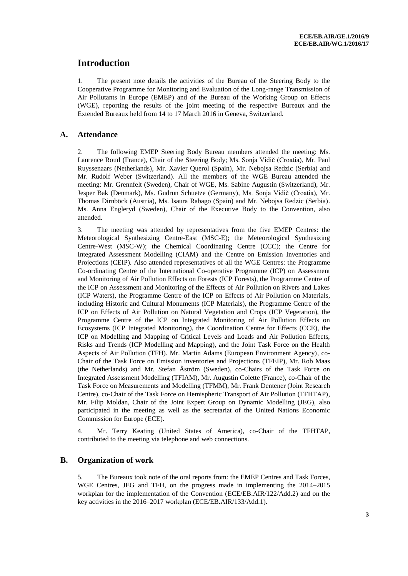# **Introduction**

1. The present note details the activities of the Bureau of the Steering Body to the Cooperative Programme for Monitoring and Evaluation of the Long-range Transmission of Air Pollutants in Europe (EMEP) and of the Bureau of the Working Group on Effects (WGE), reporting the results of the joint meeting of the respective Bureaux and the Extended Bureaux held from 14 to 17 March 2016 in Geneva, Switzerland.

#### **A. Attendance**

2. The following EMEP Steering Body Bureau members attended the meeting: Ms. Laurence Rouïl (France), Chair of the Steering Body; Ms. Sonja Vidič (Croatia), Mr. Paul Ruyssenaars (Netherlands), Mr. Xavier Querol (Spain), Mr. Nebojsa Redzic (Serbia) and Mr. Rudolf Weber (Switzerland). All the members of the WGE Bureau attended the meeting: Mr. Grennfelt (Sweden), Chair of WGE, Ms. Sabine Augustin (Switzerland), Mr. Jesper Bak (Denmark), Ms. Gudrun Schuetze (Germany), Ms. Sonja Vidič (Croatia), Mr. Thomas Dirnböck (Austria), Ms. Isaura Rabago (Spain) and Mr. Nebojsa Redzic (Serbia). Ms. Anna Engleryd (Sweden), Chair of the Executive Body to the Convention, also attended.

3. The meeting was attended by representatives from the five EMEP Centres: the Meteorological Synthesizing Centre-East (MSC-E); the Meteorological Synthesizing Centre-West (MSC-W); the Chemical Coordinating Centre (CCC); the Centre for Integrated Assessment Modelling (CIAM) and the Centre on Emission Inventories and Projections (CEIP). Also attended representatives of all the WGE Centres: the Programme Co-ordinating Centre of the International Co-operative Programme (ICP) on Assessment and Monitoring of Air Pollution Effects on Forests (ICP Forests), the Programme Centre of the ICP on Assessment and Monitoring of the Effects of Air Pollution on Rivers and Lakes (ICP Waters), the Programme Centre of the ICP on Effects of Air Pollution on Materials, including Historic and Cultural Monuments (ICP Materials), the Programme Centre of the ICP on Effects of Air Pollution on Natural Vegetation and Crops (ICP Vegetation), the Programme Centre of the ICP on Integrated Monitoring of Air Pollution Effects on Ecosystems (ICP Integrated Monitoring), the Coordination Centre for Effects (CCE), the ICP on Modelling and Mapping of Critical Levels and Loads and Air Pollution Effects, Risks and Trends (ICP Modelling and Mapping), and the Joint Task Force on the Health Aspects of Air Pollution (TFH). Mr. Martin Adams (European Environment Agency), co-Chair of the Task Force on Emission inventories and Projections (TFEIP), Mr. Rob Maas (the Netherlands) and Mr. Stefan Åström (Sweden), co-Chairs of the Task Force on Integrated Assessment Modelling (TFIAM), Mr. Augustin Colette (France), co-Chair of the Task Force on Measurements and Modelling (TFMM), Mr. Frank Dentener (Joint Research Centre), co-Chair of the Task Force on Hemispheric Transport of Air Pollution (TFHTAP), Mr. Filip Moldan, Chair of the Joint Expert Group on Dynamic Modelling (JEG), also participated in the meeting as well as the secretariat of the United Nations Economic Commission for Europe (ECE).

4. Mr. Terry Keating (United States of America), co-Chair of the TFHTAP, contributed to the meeting via telephone and web connections.

#### **B. Organization of work**

5. The Bureaux took note of the oral reports from: the EMEP Centres and Task Forces, WGE Centres, JEG and TFH, on the progress made in implementing the 2014–2015 workplan for the implementation of the Convention (ECE/EB.AIR/122/Add.2) and on the key activities in the 2016–2017 workplan (ECE/EB.AIR/133/Add.1).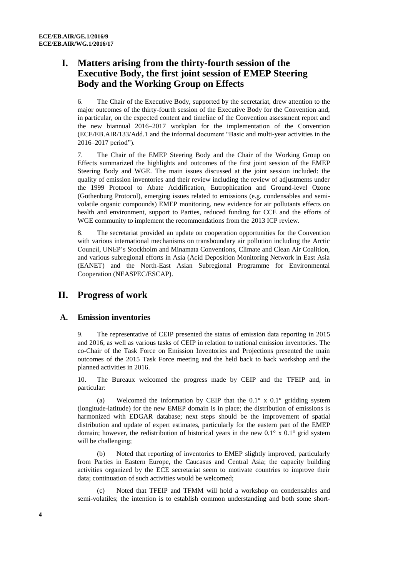# **I. Matters arising from the thirty-fourth session of the Executive Body, the first joint session of EMEP Steering Body and the Working Group on Effects**

6. The Chair of the Executive Body, supported by the secretariat, drew attention to the major outcomes of the thirty-fourth session of the Executive Body for the Convention and, in particular, on the expected content and timeline of the Convention assessment report and the new biannual 2016–2017 workplan for the implementation of the Convention (ECE/EB.AIR/133/Add.1 and the informal document "Basic and multi-year activities in the 2016–2017 period").

7. The Chair of the EMEP Steering Body and the Chair of the Working Group on Effects summarized the highlights and outcomes of the first joint session of the EMEP Steering Body and WGE. The main issues discussed at the joint session included: the quality of emission inventories and their review including the review of adjustments under the 1999 Protocol to Abate Acidification, Eutrophication and Ground-level Ozone (Gothenburg Protocol), emerging issues related to emissions (e.g. condensables and semivolatile organic compounds) EMEP monitoring, new evidence for air pollutants effects on health and environment, support to Parties, reduced funding for CCE and the efforts of WGE community to implement the recommendations from the 2013 ICP review.

8. The secretariat provided an update on cooperation opportunities for the Convention with various international mechanisms on transboundary air pollution including the Arctic Council, UNEP's Stockholm and Minamata Conventions, Climate and Clean Air Coalition, and various subregional efforts in Asia (Acid Deposition Monitoring Network in East Asia (EANET) and the North-East Asian Subregional Programme for Environmental Cooperation (NEASPEC/ESCAP).

# **II. Progress of work**

#### **A. Emission inventories**

9. The representative of CEIP presented the status of emission data reporting in 2015 and 2016, as well as various tasks of CEIP in relation to national emission inventories. The co-Chair of the Task Force on Emission Inventories and Projections presented the main outcomes of the 2015 Task Force meeting and the held back to back workshop and the planned activities in 2016.

10. The Bureaux welcomed the progress made by CEIP and the TFEIP and, in particular:

(a) Welcomed the information by CEIP that the  $0.1^\circ$  x  $0.1^\circ$  gridding system (longitude-latitude) for the new EMEP domain is in place; the distribution of emissions is harmonized with EDGAR database; next steps should be the improvement of spatial distribution and update of expert estimates, particularly for the eastern part of the EMEP domain; however, the redistribution of historical years in the new  $0.1^\circ \times 0.1^\circ$  grid system will be challenging;

(b) Noted that reporting of inventories to EMEP slightly improved, particularly from Parties in Eastern Europe, the Caucasus and Central Asia; the capacity building activities organized by the ECE secretariat seem to motivate countries to improve their data; continuation of such activities would be welcomed;

Noted that TFEIP and TFMM will hold a workshop on condensables and semi-volatiles; the intention is to establish common understanding and both some short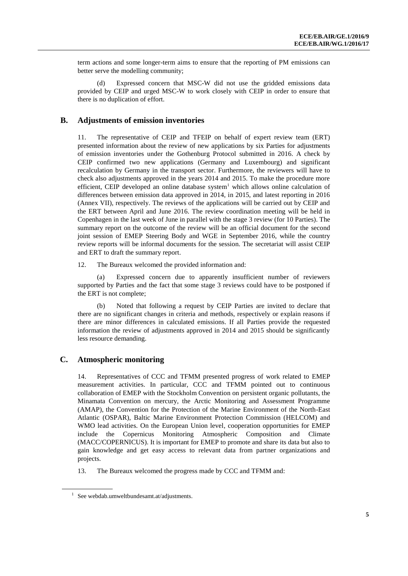term actions and some longer-term aims to ensure that the reporting of PM emissions can better serve the modelling community;

(d) Expressed concern that MSC-W did not use the gridded emissions data provided by CEIP and urged MSC-W to work closely with CEIP in order to ensure that there is no duplication of effort.

#### **B. Adjustments of emission inventories**

11. The representative of CEIP and TFEIP on behalf of expert review team (ERT) presented information about the review of new applications by six Parties for adjustments of emission inventories under the Gothenburg Protocol submitted in 2016. A check by CEIP confirmed two new applications (Germany and Luxembourg) and significant recalculation by Germany in the transport sector. Furthermore, the reviewers will have to check also adjustments approved in the years 2014 and 2015. To make the procedure more efficient, CEIP developed an online database system $1$  which allows online calculation of differences between emission data approved in 2014, in 2015, and latest reporting in 2016 (Annex VII), respectively. The reviews of the applications will be carried out by CEIP and the ERT between April and June 2016. The review coordination meeting will be held in Copenhagen in the last week of June in parallel with the stage 3 review (for 10 Parties). The summary report on the outcome of the review will be an official document for the second joint session of EMEP Steering Body and WGE in September 2016, while the country review reports will be informal documents for the session. The secretariat will assist CEIP and ERT to draft the summary report.

12. The Bureaux welcomed the provided information and:

(a) Expressed concern due to apparently insufficient number of reviewers supported by Parties and the fact that some stage 3 reviews could have to be postponed if the ERT is not complete;

(b) Noted that following a request by CEIP Parties are invited to declare that there are no significant changes in criteria and methods, respectively or explain reasons if there are minor differences in calculated emissions. If all Parties provide the requested information the review of adjustments approved in 2014 and 2015 should be significantly less resource demanding.

### **C. Atmospheric monitoring**

14. Representatives of CCC and TFMM presented progress of work related to EMEP measurement activities. In particular, CCC and TFMM pointed out to continuous collaboration of EMEP with the Stockholm Convention on persistent organic pollutants, the Minamata Convention on mercury, the Arctic Monitoring and Assessment Programme (AMAP), the Convention for the Protection of the Marine Environment of the North-East Atlantic (OSPAR), Baltic Marine Environment Protection Commission (HELCOM) and WMO lead activities. On the European Union level, cooperation opportunities for EMEP include the Copernicus Monitoring Atmospheric Composition and Climate (MACC/COPERNICUS). It is important for EMEP to promote and share its data but also to gain knowledge and get easy access to relevant data from partner organizations and projects.

13. The Bureaux welcomed the progress made by CCC and TFMM and:

<sup>1</sup> See webdab.umweltbundesamt.at/adjustments.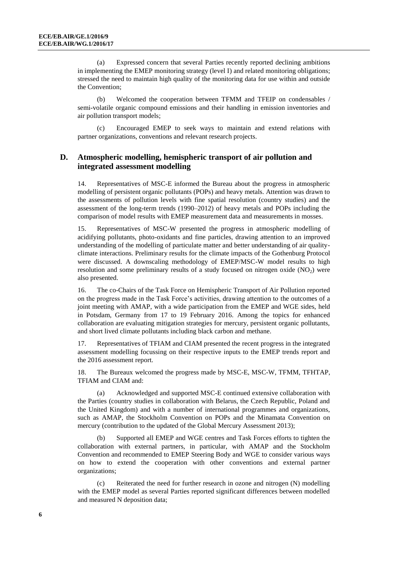(a) Expressed concern that several Parties recently reported declining ambitions in implementing the EMEP monitoring strategy (level I) and related monitoring obligations; stressed the need to maintain high quality of the monitoring data for use within and outside the Convention;

(b) Welcomed the cooperation between TFMM and TFEIP on condensables / semi-volatile organic compound emissions and their handling in emission inventories and air pollution transport models;

(c) Encouraged EMEP to seek ways to maintain and extend relations with partner organizations, conventions and relevant research projects.

### **D. Atmospheric modelling, hemispheric transport of air pollution and integrated assessment modelling**

14. Representatives of MSC-E informed the Bureau about the progress in atmospheric modelling of persistent organic pollutants (POPs) and heavy metals. Attention was drawn to the assessments of pollution levels with fine spatial resolution (country studies) and the assessment of the long-term trends (1990–2012) of heavy metals and POPs including the comparison of model results with EMEP measurement data and measurements in mosses.

Representatives of MSC-W presented the progress in atmospheric modelling of acidifying pollutants, photo-oxidants and fine particles, drawing attention to an improved understanding of the modelling of particulate matter and better understanding of air qualityclimate interactions. Preliminary results for the climate impacts of the Gothenburg Protocol were discussed. A downscaling methodology of EMEP/MSC-W model results to high resolution and some preliminary results of a study focused on nitrogen oxide  $(NO<sub>2</sub>)$  were also presented.

16. The co-Chairs of the Task Force on Hemispheric Transport of Air Pollution reported on the progress made in the Task Force's activities, drawing attention to the outcomes of a joint meeting with AMAP, with a wide participation from the EMEP and WGE sides, held in Potsdam, Germany from 17 to 19 February 2016. Among the topics for enhanced collaboration are evaluating mitigation strategies for mercury, persistent organic pollutants, and short lived climate pollutants including black carbon and methane.

17. Representatives of TFIAM and CIAM presented the recent progress in the integrated assessment modelling focussing on their respective inputs to the EMEP trends report and the 2016 assessment report.

18. The Bureaux welcomed the progress made by MSC-E, MSC-W, TFMM, TFHTAP, TFIAM and CIAM and:

(a) Acknowledged and supported MSC-E continued extensive collaboration with the Parties (country studies in collaboration with Belarus, the Czech Republic, Poland and the United Kingdom) and with a number of international programmes and organizations, such as AMAP, the Stockholm Convention on POPs and the Minamata Convention on mercury (contribution to the updated of the Global Mercury Assessment 2013);

(b) Supported all EMEP and WGE centres and Task Forces efforts to tighten the collaboration with external partners, in particular, with AMAP and the Stockholm Convention and recommended to EMEP Steering Body and WGE to consider various ways on how to extend the cooperation with other conventions and external partner organizations;

(c) Reiterated the need for further research in ozone and nitrogen (N) modelling with the EMEP model as several Parties reported significant differences between modelled and measured N deposition data;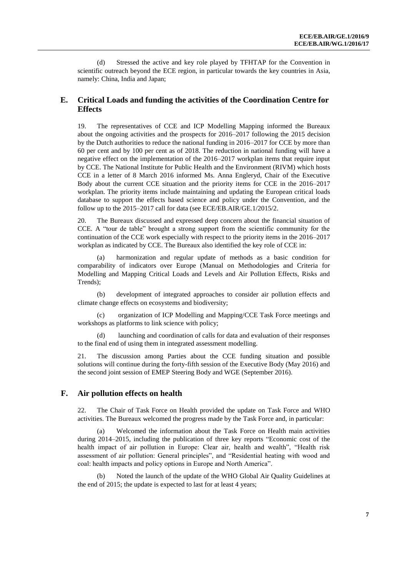(d) Stressed the active and key role played by TFHTAP for the Convention in scientific outreach beyond the ECE region, in particular towards the key countries in Asia, namely: China, India and Japan;

### **E. Critical Loads and funding the activities of the Coordination Centre for Effects**

19. The representatives of CCE and ICP Modelling Mapping informed the Bureaux about the ongoing activities and the prospects for 2016–2017 following the 2015 decision by the Dutch authorities to reduce the national funding in 2016–2017 for CCE by more than 60 per cent and by 100 per cent as of 2018. The reduction in national funding will have a negative effect on the implementation of the 2016–2017 workplan items that require input by CCE. The National Institute for Public Health and the Environment (RIVM) which hosts CCE in a letter of 8 March 2016 informed Ms. Anna Engleryd, Chair of the Executive Body about the current CCE situation and the priority items for CCE in the 2016–2017 workplan. The priority items include maintaining and updating the European critical loads database to support the effects based science and policy under the Convention, and the follow up to the 2015–2017 call for data (see ECE/EB.AIR/GE.1/2015/2.

20. The Bureaux discussed and expressed deep concern about the financial situation of CCE. A "tour de table" brought a strong support from the scientific community for the continuation of the CCE work especially with respect to the priority items in the 2016–2017 workplan as indicated by CCE. The Bureaux also identified the key role of CCE in:

harmonization and regular update of methods as a basic condition for comparability of indicators over Europe (Manual on Methodologies and Criteria for Modelling and Mapping Critical Loads and Levels and Air Pollution Effects, Risks and Trends);

(b) development of integrated approaches to consider air pollution effects and climate change effects on ecosystems and biodiversity;

(c) organization of ICP Modelling and Mapping/CCE Task Force meetings and workshops as platforms to link science with policy;

launching and coordination of calls for data and evaluation of their responses to the final end of using them in integrated assessment modelling.

21. The discussion among Parties about the CCE funding situation and possible solutions will continue during the forty-fifth session of the Executive Body (May 2016) and the second joint session of EMEP Steering Body and WGE (September 2016).

#### **F. Air pollution effects on health**

22. The Chair of Task Force on Health provided the update on Task Force and WHO activities. The Bureaux welcomed the progress made by the Task Force and, in particular:

(a) Welcomed the information about the Task Force on Health main activities during 2014–2015, including the publication of three key reports "Economic cost of the health impact of air pollution in Europe: Clear air, health and wealth", "Health risk assessment of air pollution: General principles", and "Residential heating with wood and coal: health impacts and policy options in Europe and North America".

(b) Noted the launch of the update of the WHO Global Air Quality Guidelines at the end of 2015; the update is expected to last for at least 4 years;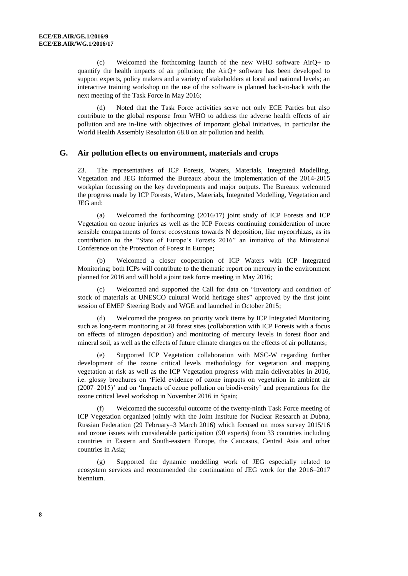(c) Welcomed the forthcoming launch of the new WHO software AirQ+ to quantify the health impacts of air pollution; the AirQ+ software has been developed to support experts, policy makers and a variety of stakeholders at local and national levels; an interactive training workshop on the use of the software is planned back-to-back with the next meeting of the Task Force in May 2016;

(d) Noted that the Task Force activities serve not only ECE Parties but also contribute to the global response from WHO to address the adverse health effects of air pollution and are in-line with objectives of important global initiatives, in particular the World Health Assembly Resolution 68.8 on air pollution and health.

#### **G. Air pollution effects on environment, materials and crops**

23. The representatives of ICP Forests, Waters, Materials, Integrated Modelling, Vegetation and JEG informed the Bureaux about the implementation of the 2014-2015 workplan focussing on the key developments and major outputs. The Bureaux welcomed the progress made by ICP Forests, Waters, Materials, Integrated Modelling, Vegetation and JEG and:

(a) Welcomed the forthcoming (2016/17) joint study of ICP Forests and ICP Vegetation on ozone injuries as well as the ICP Forests continuing consideration of more sensible compartments of forest ecosystems towards N deposition, like mycorrhizas, as its contribution to the "State of Europe's Forests 2016" an initiative of the Ministerial Conference on the Protection of Forest in Europe;

Welcomed a closer cooperation of ICP Waters with ICP Integrated Monitoring; both ICPs will contribute to the thematic report on mercury in the environment planned for 2016 and will hold a joint task force meeting in May 2016;

Welcomed and supported the Call for data on "Inventory and condition of stock of materials at UNESCO cultural World heritage sites" approved by the first joint session of EMEP Steering Body and WGE and launched in October 2015;

Welcomed the progress on priority work items by ICP Integrated Monitoring such as long-term monitoring at 28 forest sites (collaboration with ICP Forests with a focus on effects of nitrogen deposition) and monitoring of mercury levels in forest floor and mineral soil, as well as the effects of future climate changes on the effects of air pollutants;

(e) Supported ICP Vegetation collaboration with MSC-W regarding further development of the ozone critical levels methodology for vegetation and mapping vegetation at risk as well as the ICP Vegetation progress with main deliverables in 2016, i.e. glossy brochures on 'Field evidence of ozone impacts on vegetation in ambient air (2007–2015)' and on 'Impacts of ozone pollution on biodiversity' and preparations for the ozone critical level workshop in November 2016 in Spain;

Welcomed the successful outcome of the twenty-ninth Task Force meeting of ICP Vegetation organized jointly with the Joint Institute for Nuclear Research at Dubna, Russian Federation (29 February–3 March 2016) which focused on moss survey 2015/16 and ozone issues with considerable participation (90 experts) from 33 countries including countries in Eastern and South-eastern Europe, the Caucasus, Central Asia and other countries in Asia;

(g) Supported the dynamic modelling work of JEG especially related to ecosystem services and recommended the continuation of JEG work for the 2016–2017 biennium.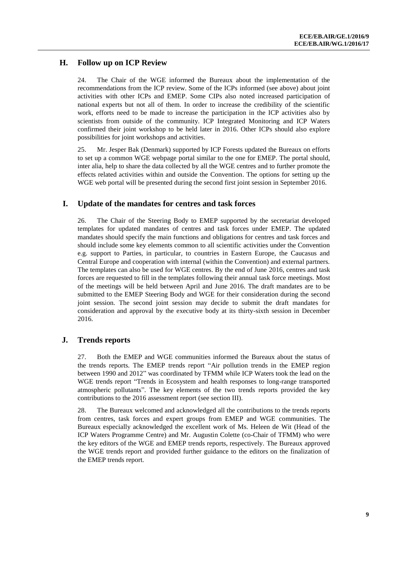### **H. Follow up on ICP Review**

24. The Chair of the WGE informed the Bureaux about the implementation of the recommendations from the ICP review. Some of the ICPs informed (see above) about joint activities with other ICPs and EMEP. Some CIPs also noted increased participation of national experts but not all of them. In order to increase the credibility of the scientific work, efforts need to be made to increase the participation in the ICP activities also by scientists from outside of the community. ICP Integrated Monitoring and ICP Waters confirmed their joint workshop to be held later in 2016. Other ICPs should also explore possibilities for joint workshops and activities.

25. Mr. Jesper Bak (Denmark) supported by ICP Forests updated the Bureaux on efforts to set up a common WGE webpage portal similar to the one for EMEP. The portal should, inter alia, help to share the data collected by all the WGE centres and to further promote the effects related activities within and outside the Convention. The options for setting up the WGE web portal will be presented during the second first joint session in September 2016.

### **I. Update of the mandates for centres and task forces**

26. The Chair of the Steering Body to EMEP supported by the secretariat developed templates for updated mandates of centres and task forces under EMEP. The updated mandates should specify the main functions and obligations for centres and task forces and should include some key elements common to all scientific activities under the Convention e.g. support to Parties, in particular, to countries in Eastern Europe, the Caucasus and Central Europe and cooperation with internal (within the Convention) and external partners. The templates can also be used for WGE centres. By the end of June 2016, centres and task forces are requested to fill in the templates following their annual task force meetings. Most of the meetings will be held between April and June 2016. The draft mandates are to be submitted to the EMEP Steering Body and WGE for their consideration during the second joint session. The second joint session may decide to submit the draft mandates for consideration and approval by the executive body at its thirty-sixth session in December 2016.

### **J. Trends reports**

27. Both the EMEP and WGE communities informed the Bureaux about the status of the trends reports. The EMEP trends report "Air pollution trends in the EMEP region between 1990 and 2012" was coordinated by TFMM while ICP Waters took the lead on the WGE trends report "Trends in Ecosystem and health responses to long-range transported atmospheric pollutants". The key elements of the two trends reports provided the key contributions to the 2016 assessment report (see section III).

28. The Bureaux welcomed and acknowledged all the contributions to the trends reports from centres, task forces and expert groups from EMEP and WGE communities. The Bureaux especially acknowledged the excellent work of Ms. Heleen de Wit (Head of the ICP Waters Programme Centre) and Mr. Augustin Colette (co-Chair of TFMM) who were the key editors of the WGE and EMEP trends reports, respectively. The Bureaux approved the WGE trends report and provided further guidance to the editors on the finalization of the EMEP trends report.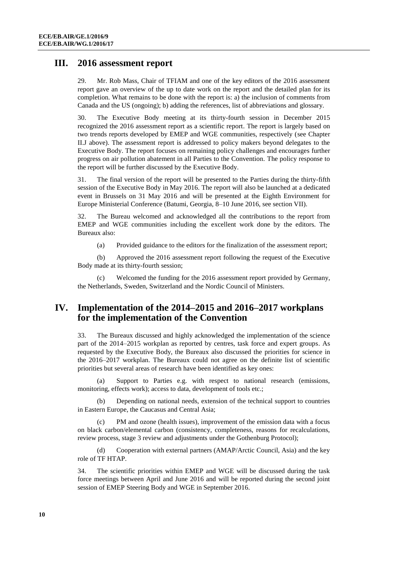### **III. 2016 assessment report**

29. Mr. Rob Mass, Chair of TFIAM and one of the key editors of the 2016 assessment report gave an overview of the up to date work on the report and the detailed plan for its completion. What remains to be done with the report is: a) the inclusion of comments from Canada and the US (ongoing); b) adding the references, list of abbreviations and glossary.

30. The Executive Body meeting at its thirty-fourth session in December 2015 recognized the 2016 assessment report as a scientific report. The report is largely based on two trends reports developed by EMEP and WGE communities, respectively (see Chapter II.J above). The assessment report is addressed to policy makers beyond delegates to the Executive Body. The report focuses on remaining policy challenges and encourages further progress on air pollution abatement in all Parties to the Convention. The policy response to the report will be further discussed by the Executive Body.

31. The final version of the report will be presented to the Parties during the thirty-fifth session of the Executive Body in May 2016. The report will also be launched at a dedicated event in Brussels on 31 May 2016 and will be presented at the Eighth Environment for Europe Ministerial Conference (Batumi, Georgia, 8–10 June 2016, see section VII).

32. The Bureau welcomed and acknowledged all the contributions to the report from EMEP and WGE communities including the excellent work done by the editors. The Bureaux also:

(a) Provided guidance to the editors for the finalization of the assessment report;

(b) Approved the 2016 assessment report following the request of the Executive Body made at its thirty-fourth session;

(c) Welcomed the funding for the 2016 assessment report provided by Germany, the Netherlands, Sweden, Switzerland and the Nordic Council of Ministers.

# **IV. Implementation of the 2014–2015 and 2016–2017 workplans for the implementation of the Convention**

33. The Bureaux discussed and highly acknowledged the implementation of the science part of the 2014–2015 workplan as reported by centres, task force and expert groups. As requested by the Executive Body, the Bureaux also discussed the priorities for science in the 2016–2017 workplan. The Bureaux could not agree on the definite list of scientific priorities but several areas of research have been identified as key ones:

(a) Support to Parties e.g. with respect to national research (emissions, monitoring, effects work); access to data, development of tools etc.;

(b) Depending on national needs, extension of the technical support to countries in Eastern Europe, the Caucasus and Central Asia;

PM and ozone (health issues), improvement of the emission data with a focus on black carbon/elemental carbon (consistency, completeness, reasons for recalculations, review process, stage 3 review and adjustments under the Gothenburg Protocol);

(d) Cooperation with external partners (AMAP/Arctic Council, Asia) and the key role of TF HTAP.

34. The scientific priorities within EMEP and WGE will be discussed during the task force meetings between April and June 2016 and will be reported during the second joint session of EMEP Steering Body and WGE in September 2016.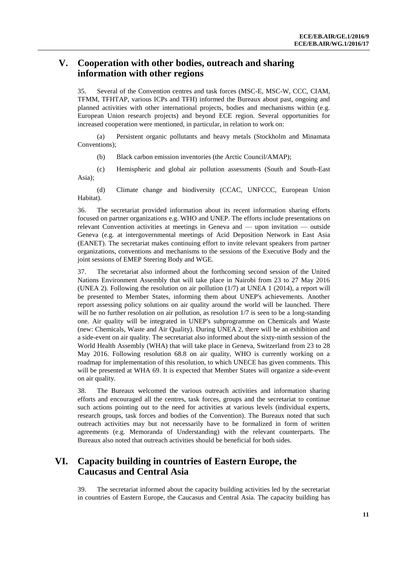# **V. Cooperation with other bodies, outreach and sharing information with other regions**

35. Several of the Convention centres and task forces (MSC-E, MSC-W, CCC, CIAM, TFMM, TFHTAP, various ICPs and TFH) informed the Bureaux about past, ongoing and planned activities with other international projects, bodies and mechanisms within (e.g. European Union research projects) and beyond ECE region. Several opportunities for increased cooperation were mentioned, in particular, in relation to work on:

(a) Persistent organic pollutants and heavy metals (Stockholm and Minamata Conventions);

(b) Black carbon emission inventories (the Arctic Council/AMAP);

(c) Hemispheric and global air pollution assessments (South and South-East Asia);

(d) Climate change and biodiversity (CCAC, UNFCCC, European Union Habitat).

36. The secretariat provided information about its recent information sharing efforts focused on partner organizations e.g. WHO and UNEP. The efforts include presentations on relevant Convention activities at meetings in Geneva and –– upon invitation –– outside Geneva (e.g. at intergovernmental meetings of Acid Deposition Network in East Asia (EANET). The secretariat makes continuing effort to invite relevant speakers from partner organizations, conventions and mechanisms to the sessions of the Executive Body and the joint sessions of EMEP Steering Body and WGE.

37. The secretariat also informed about the forthcoming second session of the United Nations Environment Assembly that will take place in Nairobi from 23 to 27 May 2016 (UNEA 2). Following the resolution on air pollution (1/7) at UNEA 1 (2014), a report will be presented to Member States, informing them about UNEP's achievements. Another report assessing policy solutions on air quality around the world will be launched. There will be no further resolution on air pollution, as resolution  $1/7$  is seen to be a long-standing one. Air quality will be integrated in UNEP's subprogramme on Chemicals and Waste (new: Chemicals, Waste and Air Quality). During UNEA 2, there will be an exhibition and a side-event on air quality. The secretariat also informed about the sixty-ninth session of the World Health Assembly (WHA) that will take place in Geneva, Switzerland from 23 to 28 May 2016. Following resolution 68.8 on air quality, WHO is currently working on a roadmap for implementation of this resolution, to which UNECE has given comments. This will be presented at WHA 69. It is expected that Member States will organize a side-event on air quality.

38. The Bureaux welcomed the various outreach activities and information sharing efforts and encouraged all the centres, task forces, groups and the secretariat to continue such actions pointing out to the need for activities at various levels (individual experts, research groups, task forces and bodies of the Convention). The Bureaux noted that such outreach activities may but not necessarily have to be formalized in form of written agreements (e.g. Memoranda of Understanding) with the relevant counterparts. The Bureaux also noted that outreach activities should be beneficial for both sides.

# **VI. Capacity building in countries of Eastern Europe, the Caucasus and Central Asia**

39. The secretariat informed about the capacity building activities led by the secretariat in countries of Eastern Europe, the Caucasus and Central Asia. The capacity building has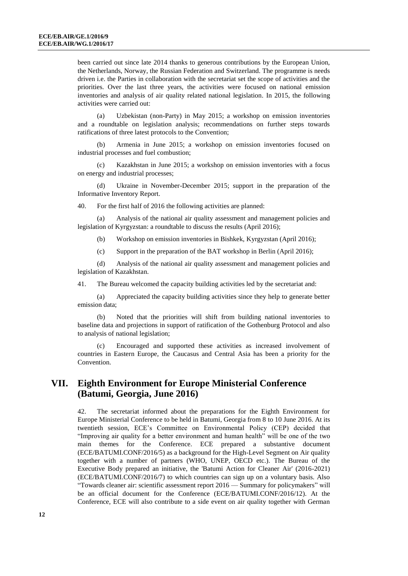been carried out since late 2014 thanks to generous contributions by the European Union, the Netherlands, Norway, the Russian Federation and Switzerland. The programme is needs driven i.e. the Parties in collaboration with the secretariat set the scope of activities and the priorities. Over the last three years, the activities were focused on national emission inventories and analysis of air quality related national legislation. In 2015, the following activities were carried out:

(a) Uzbekistan (non-Party) in May 2015; a workshop on emission inventories and a roundtable on legislation analysis; recommendations on further steps towards ratifications of three latest protocols to the Convention;

(b) Armenia in June 2015; a workshop on emission inventories focused on industrial processes and fuel combustion;

(c) Kazakhstan in June 2015; a workshop on emission inventories with a focus on energy and industrial processes;

(d) Ukraine in November-December 2015; support in the preparation of the Informative Inventory Report.

40. For the first half of 2016 the following activities are planned:

(a) Analysis of the national air quality assessment and management policies and legislation of Kyrgyzstan: a roundtable to discuss the results (April 2016);

- (b) Workshop on emission inventories in Bishkek, Kyrgyzstan (April 2016);
- (c) Support in the preparation of the BAT workshop in Berlin (April 2016);

(d) Analysis of the national air quality assessment and management policies and legislation of Kazakhstan.

41. The Bureau welcomed the capacity building activities led by the secretariat and:

(a) Appreciated the capacity building activities since they help to generate better emission data;

(b) Noted that the priorities will shift from building national inventories to baseline data and projections in support of ratification of the Gothenburg Protocol and also to analysis of national legislation;

(c) Encouraged and supported these activities as increased involvement of countries in Eastern Europe, the Caucasus and Central Asia has been a priority for the Convention.

# **VII. Eighth Environment for Europe Ministerial Conference (Batumi, Georgia, June 2016)**

42. The secretariat informed about the preparations for the Eighth Environment for Europe Ministerial Conference to be held in Batumi, Georgia from 8 to 10 June 2016. At its twentieth session, ECE's Committee on Environmental Policy (CEP) decided that "Improving air quality for a better environment and human health" will be one of the two main themes for the Conference. ECE prepared a substantive document (ECE/BATUMI.CONF/2016/5) as a background for the High-Level Segment on Air quality together with a number of partners (WHO, UNEP, OECD etc.). The Bureau of the Executive Body prepared an initiative, the 'Batumi Action for Cleaner Air' (2016-2021) (ECE/BATUMI.CONF/2016/7) to which countries can sign up on a voluntary basis. Also "Towards cleaner air: scientific assessment report 2016 –– Summary for policymakers" will be an official document for the Conference (ECE/BATUMI.CONF/2016/12). At the Conference, ECE will also contribute to a side event on air quality together with German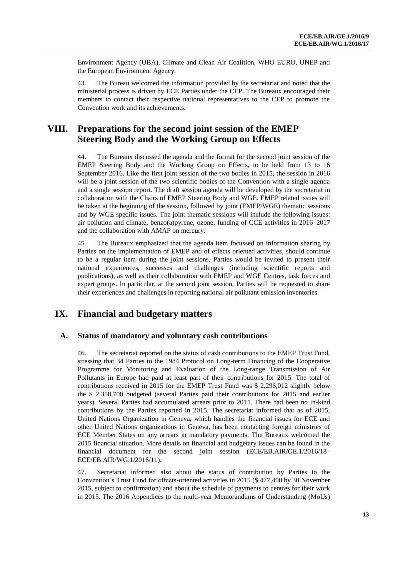Environment Agency (UBA), Climate and Clean Air Coalition, WHO EURO, UNEP and the European Environment Agency.

43. The Bureau welcomed the information provided by the secretariat and noted that the ministerial process is driven by ECE Parties under the CEP. The Bureaux encouraged their members to contact their respective national representatives to the CEP to promote the Convention work and its achievements.

# **VIII. Preparations for the second joint session of the EMEP Steering Body and the Working Group on Effects**

44. The Bureaux discussed the agenda and the format for the second joint session of the EMEP Steering Body and the Working Group on Effects, to be held from 13 to 16 September 2016. Like the first joint session of the two bodies in 2015, the session in 2016 will be a joint session of the two scientific bodies of the Convention with a single agenda and a single session report. The draft session agenda will be developed by the secretariat in collaboration with the Chairs of EMEP Steering Body and WGE. EMEP related issues will be taken at the beginning of the session, followed by joint (EMEP/WGE) thematic sessions and by WGE specific issues. The joint thematic sessions will include the following issues: air pollution and climate, benzo(a)pyrene, ozone, funding of CCE activities in 2016–2017 and the collaboration with AMAP on mercury.

45. The Bureaux emphasized that the agenda item focussed on information sharing by Parties on the implementation of EMEP and of effects oriented activities, should continue to be a regular item during the joint sessions. Parties would be invited to present their national experiences, successes and challenges (including scientific reports and publications), as well as their collaboration with EMEP and WGE Centres, task forces and expert groups. In particular, at the second joint session, Parties will be requested to share their experiences and challenges in reporting national air pollutant emission inventories.

# **IX. Financial and budgetary matters**

#### **A. Status of mandatory and voluntary cash contributions**

46. The secretariat reported on the status of cash contributions to the EMEP Trust Fund, stressing that 34 Parties to the 1984 Protocol on Long-term Financing of the Cooperative Programme for Monitoring and Evaluation of the Long-range Transmission of Air Pollutants in Europe had paid at least part of their contributions for 2015. The total of contributions received in 2015 for the EMEP Trust Fund was \$ 2,296,012 slightly below the \$ 2,358,700 budgeted (several Parties paid their contributions for 2015 and earlier years). Several Parties had accumulated arrears prior to 2015. There had been no in-kind contributions by the Parties reported in 2015. The secretariat informed that as of 2015, United Nations Organization in Geneva, which handles the financial issues for ECE and other United Nations organizations in Geneva, has been contacting foreign ministries of ECE Member States on any arrears in mandatory payments. The Bureaux welcomed the 2015 financial situation. More details on financial and budgetary issues can be found in the financial document for the second joint session (ECE/EB.AIR/GE.1/2016/18– ECE/EB.AIR/WG.1/2016/11).

47. Secretariat informed also about the status of contribution by Parties to the Convention's Trust Fund for effects-oriented activities in 2015 (\$ 477,400 by 30 November 2015, subject to confirmation) and about the schedule of payments to centres for their work in 2015. The 2016 Appendices to the multi-year Memorandums of Understanding (MoUs)